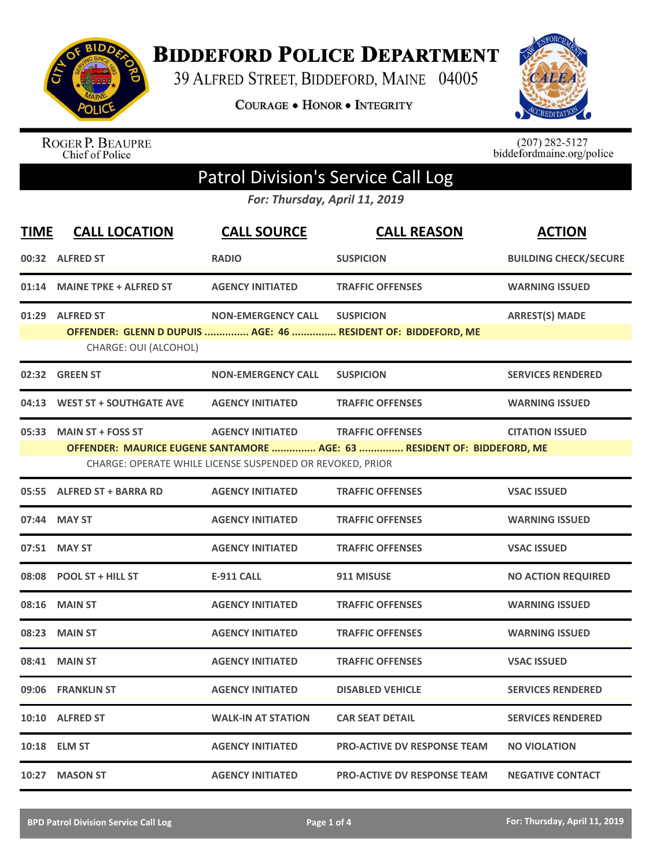

**BIDDEFORD POLICE DEPARTMENT** 

39 ALFRED STREET, BIDDEFORD, MAINE 04005

**COURAGE . HONOR . INTEGRITY** 



ROGER P. BEAUPRE<br>Chief of Police

 $(207)$  282-5127<br>biddefordmaine.org/police

## Patrol Division's Service Call Log

*For: Thursday, April 11, 2019*

| <b>TIME</b> | <b>CALL LOCATION</b>          | <b>CALL SOURCE</b>                                        | <b>CALL REASON</b>                                                      | <b>ACTION</b>                |
|-------------|-------------------------------|-----------------------------------------------------------|-------------------------------------------------------------------------|------------------------------|
|             | 00:32 ALFRED ST               | <b>RADIO</b>                                              | <b>SUSPICION</b>                                                        | <b>BUILDING CHECK/SECURE</b> |
|             | 01:14 MAINE TPKE + ALFRED ST  | <b>AGENCY INITIATED</b>                                   | <b>TRAFFIC OFFENSES</b>                                                 | <b>WARNING ISSUED</b>        |
|             | 01:29 ALFRED ST               | <b>NON-EMERGENCY CALL</b>                                 | <b>SUSPICION</b>                                                        | <b>ARREST(S) MADE</b>        |
|             | CHARGE: OUI (ALCOHOL)         |                                                           | OFFENDER: GLENN D DUPUIS  AGE: 46  RESIDENT OF: BIDDEFORD, ME           |                              |
|             | 02:32 GREEN ST                | <b>NON-EMERGENCY CALL</b>                                 | <b>SUSPICION</b>                                                        | <b>SERVICES RENDERED</b>     |
|             | 04:13 WEST ST + SOUTHGATE AVE | <b>AGENCY INITIATED</b>                                   | <b>TRAFFIC OFFENSES</b>                                                 | <b>WARNING ISSUED</b>        |
|             | 05:33 MAIN ST + FOSS ST       | <b>AGENCY INITIATED</b>                                   | <b>TRAFFIC OFFENSES</b>                                                 | <b>CITATION ISSUED</b>       |
|             |                               | CHARGE: OPERATE WHILE LICENSE SUSPENDED OR REVOKED, PRIOR | OFFENDER: MAURICE EUGENE SANTAMORE  AGE: 63  RESIDENT OF: BIDDEFORD, ME |                              |
|             | 05:55 ALFRED ST + BARRA RD    | <b>AGENCY INITIATED</b>                                   | <b>TRAFFIC OFFENSES</b>                                                 | <b>VSAC ISSUED</b>           |
|             |                               |                                                           |                                                                         |                              |
|             | 07:44 MAY ST                  | <b>AGENCY INITIATED</b>                                   | <b>TRAFFIC OFFENSES</b>                                                 | <b>WARNING ISSUED</b>        |
|             | 07:51 MAY ST                  | <b>AGENCY INITIATED</b>                                   | <b>TRAFFIC OFFENSES</b>                                                 | <b>VSAC ISSUED</b>           |
|             | 08:08 POOL ST + HILL ST       | <b>E-911 CALL</b>                                         | 911 MISUSE                                                              | <b>NO ACTION REQUIRED</b>    |
|             | 08:16 MAIN ST                 | <b>AGENCY INITIATED</b>                                   | <b>TRAFFIC OFFENSES</b>                                                 | <b>WARNING ISSUED</b>        |
| 08:23       | <b>MAIN ST</b>                | <b>AGENCY INITIATED</b>                                   | <b>TRAFFIC OFFENSES</b>                                                 | <b>WARNING ISSUED</b>        |
| 08:41       | <b>MAIN ST</b>                | <b>AGENCY INITIATED</b>                                   | <b>TRAFFIC OFFENSES</b>                                                 | <b>VSAC ISSUED</b>           |
|             | 09:06 FRANKLIN ST             | <b>AGENCY INITIATED</b>                                   | <b>DISABLED VEHICLE</b>                                                 | <b>SERVICES RENDERED</b>     |
|             | 10:10 ALFRED ST               | <b>WALK-IN AT STATION</b>                                 | <b>CAR SEAT DETAIL</b>                                                  | <b>SERVICES RENDERED</b>     |
|             | 10:18 ELM ST                  | <b>AGENCY INITIATED</b>                                   | <b>PRO-ACTIVE DV RESPONSE TEAM</b>                                      | <b>NO VIOLATION</b>          |
|             | 10:27 MASON ST                | <b>AGENCY INITIATED</b>                                   | <b>PRO-ACTIVE DV RESPONSE TEAM</b>                                      | <b>NEGATIVE CONTACT</b>      |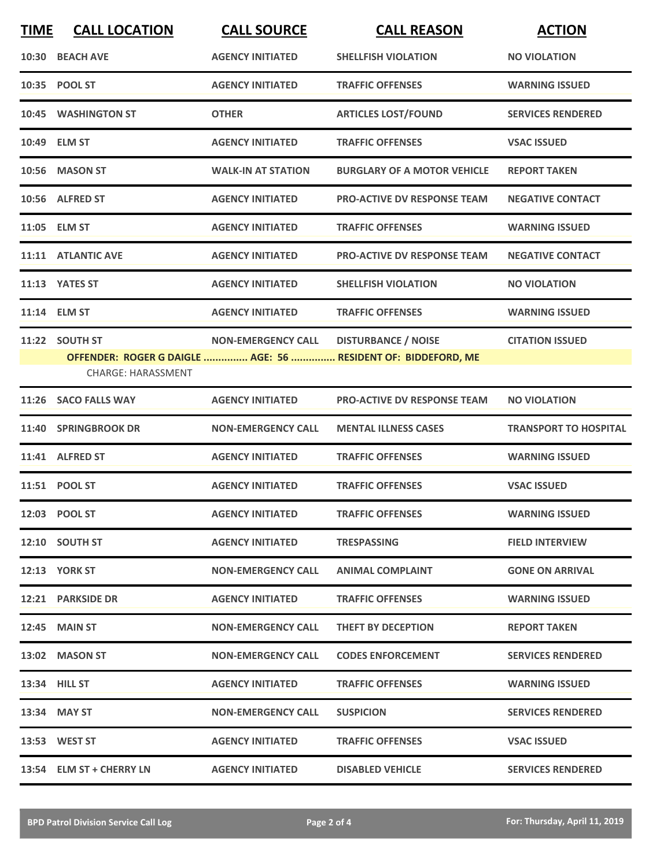| <b>TIME</b> | <b>CALL LOCATION</b>                        | <b>CALL SOURCE</b>        | <b>CALL REASON</b>                                                                          | <b>ACTION</b>                |
|-------------|---------------------------------------------|---------------------------|---------------------------------------------------------------------------------------------|------------------------------|
|             | 10:30 BEACH AVE                             | <b>AGENCY INITIATED</b>   | <b>SHELLFISH VIOLATION</b>                                                                  | <b>NO VIOLATION</b>          |
|             | 10:35 POOL ST                               | <b>AGENCY INITIATED</b>   | <b>TRAFFIC OFFENSES</b>                                                                     | <b>WARNING ISSUED</b>        |
|             | 10:45 WASHINGTON ST                         | <b>OTHER</b>              | <b>ARTICLES LOST/FOUND</b>                                                                  | <b>SERVICES RENDERED</b>     |
|             | 10:49 ELM ST                                | <b>AGENCY INITIATED</b>   | <b>TRAFFIC OFFENSES</b>                                                                     | <b>VSAC ISSUED</b>           |
|             | 10:56 MASON ST                              | <b>WALK-IN AT STATION</b> | <b>BURGLARY OF A MOTOR VEHICLE</b>                                                          | <b>REPORT TAKEN</b>          |
|             | 10:56 ALFRED ST                             | <b>AGENCY INITIATED</b>   | <b>PRO-ACTIVE DV RESPONSE TEAM</b>                                                          | <b>NEGATIVE CONTACT</b>      |
|             | 11:05 ELM ST                                | <b>AGENCY INITIATED</b>   | <b>TRAFFIC OFFENSES</b>                                                                     | <b>WARNING ISSUED</b>        |
|             | 11:11 ATLANTIC AVE                          | <b>AGENCY INITIATED</b>   | <b>PRO-ACTIVE DV RESPONSE TEAM</b>                                                          | <b>NEGATIVE CONTACT</b>      |
|             | 11:13 YATES ST                              | <b>AGENCY INITIATED</b>   | <b>SHELLFISH VIOLATION</b>                                                                  | <b>NO VIOLATION</b>          |
|             | 11:14 ELM ST                                | <b>AGENCY INITIATED</b>   | <b>TRAFFIC OFFENSES</b>                                                                     | <b>WARNING ISSUED</b>        |
|             | 11:22 SOUTH ST<br><b>CHARGE: HARASSMENT</b> | <b>NON-EMERGENCY CALL</b> | <b>DISTURBANCE / NOISE</b><br>OFFENDER: ROGER G DAIGLE  AGE: 56  RESIDENT OF: BIDDEFORD, ME | <b>CITATION ISSUED</b>       |
|             | 11:26 SACO FALLS WAY                        | <b>AGENCY INITIATED</b>   | <b>PRO-ACTIVE DV RESPONSE TEAM</b>                                                          | <b>NO VIOLATION</b>          |
|             | 11:40 SPRINGBROOK DR                        | <b>NON-EMERGENCY CALL</b> | <b>MENTAL ILLNESS CASES</b>                                                                 | <b>TRANSPORT TO HOSPITAL</b> |
|             | 11:41 ALFRED ST                             | <b>AGENCY INITIATED</b>   | <b>TRAFFIC OFFENSES</b>                                                                     | <b>WARNING ISSUED</b>        |
|             |                                             |                           |                                                                                             |                              |
|             | 11:51 POOL ST                               | <b>AGENCY INITIATED</b>   | <b>TRAFFIC OFFENSES</b>                                                                     | <b>VSAC ISSUED</b>           |
|             | 12:03 POOL ST                               | <b>AGENCY INITIATED</b>   | <b>TRAFFIC OFFENSES</b>                                                                     | <b>WARNING ISSUED</b>        |
|             | 12:10 SOUTH ST                              | <b>AGENCY INITIATED</b>   | <b>TRESPASSING</b>                                                                          | <b>FIELD INTERVIEW</b>       |
|             | <b>12:13 YORK ST</b>                        | <b>NON-EMERGENCY CALL</b> | <b>ANIMAL COMPLAINT</b>                                                                     | <b>GONE ON ARRIVAL</b>       |
|             | <b>12:21 PARKSIDE DR</b>                    | <b>AGENCY INITIATED</b>   | <b>TRAFFIC OFFENSES</b>                                                                     | <b>WARNING ISSUED</b>        |
|             | <b>12:45 MAIN ST</b>                        | <b>NON-EMERGENCY CALL</b> | THEFT BY DECEPTION                                                                          | <b>REPORT TAKEN</b>          |
|             | 13:02 MASON ST                              | <b>NON-EMERGENCY CALL</b> | <b>CODES ENFORCEMENT</b>                                                                    | <b>SERVICES RENDERED</b>     |
|             | 13:34 HILL ST                               | <b>AGENCY INITIATED</b>   | <b>TRAFFIC OFFENSES</b>                                                                     | <b>WARNING ISSUED</b>        |
|             | 13:34 MAY ST                                | <b>NON-EMERGENCY CALL</b> | <b>SUSPICION</b>                                                                            | <b>SERVICES RENDERED</b>     |
|             | 13:53 WEST ST                               | <b>AGENCY INITIATED</b>   | <b>TRAFFIC OFFENSES</b>                                                                     | <b>VSAC ISSUED</b>           |
|             | 13:54 ELM ST + CHERRY LN                    | <b>AGENCY INITIATED</b>   | <b>DISABLED VEHICLE</b>                                                                     | <b>SERVICES RENDERED</b>     |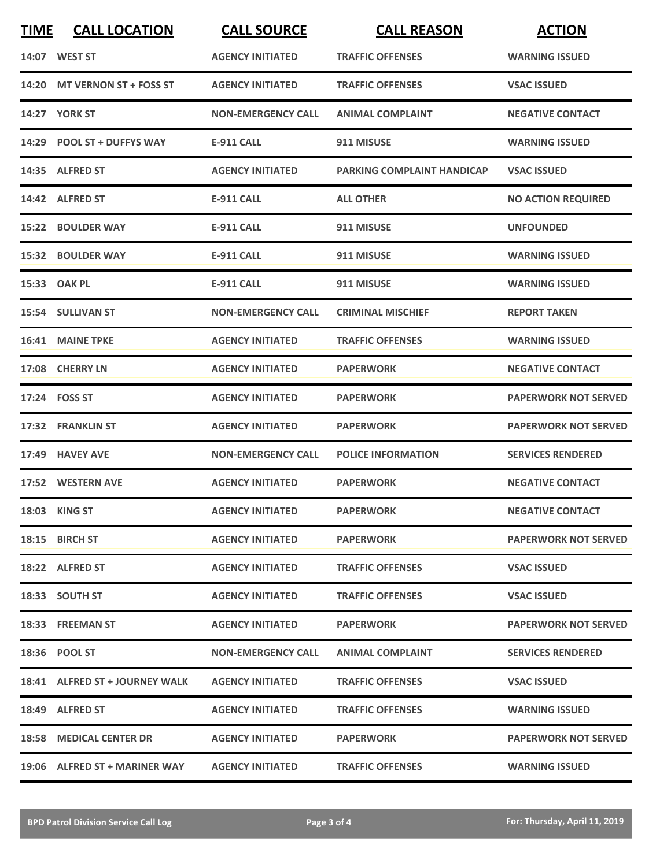| <b>TIME</b> | <b>CALL LOCATION</b>           | <b>CALL SOURCE</b>        | <b>CALL REASON</b>                | <b>ACTION</b>               |
|-------------|--------------------------------|---------------------------|-----------------------------------|-----------------------------|
|             | 14:07 WEST ST                  | <b>AGENCY INITIATED</b>   | <b>TRAFFIC OFFENSES</b>           | <b>WARNING ISSUED</b>       |
|             | 14:20 MT VERNON ST + FOSS ST   | <b>AGENCY INITIATED</b>   | <b>TRAFFIC OFFENSES</b>           | <b>VSAC ISSUED</b>          |
|             | <b>14:27 YORK ST</b>           | <b>NON-EMERGENCY CALL</b> | <b>ANIMAL COMPLAINT</b>           | <b>NEGATIVE CONTACT</b>     |
|             | 14:29 POOL ST + DUFFYS WAY     | <b>E-911 CALL</b>         | 911 MISUSE                        | <b>WARNING ISSUED</b>       |
|             | 14:35 ALFRED ST                | <b>AGENCY INITIATED</b>   | <b>PARKING COMPLAINT HANDICAP</b> | <b>VSAC ISSUED</b>          |
|             | 14:42 ALFRED ST                | <b>E-911 CALL</b>         | <b>ALL OTHER</b>                  | <b>NO ACTION REQUIRED</b>   |
|             | 15:22 BOULDER WAY              | <b>E-911 CALL</b>         | 911 MISUSE                        | <b>UNFOUNDED</b>            |
|             | 15:32 BOULDER WAY              | <b>E-911 CALL</b>         | 911 MISUSE                        | <b>WARNING ISSUED</b>       |
|             | 15:33 OAK PL                   | <b>E-911 CALL</b>         | 911 MISUSE                        | <b>WARNING ISSUED</b>       |
|             | 15:54 SULLIVAN ST              | <b>NON-EMERGENCY CALL</b> | <b>CRIMINAL MISCHIEF</b>          | <b>REPORT TAKEN</b>         |
|             | 16:41 MAINE TPKE               | <b>AGENCY INITIATED</b>   | <b>TRAFFIC OFFENSES</b>           | <b>WARNING ISSUED</b>       |
|             | 17:08 CHERRY LN                | <b>AGENCY INITIATED</b>   | <b>PAPERWORK</b>                  | <b>NEGATIVE CONTACT</b>     |
|             | 17:24 FOSS ST                  | <b>AGENCY INITIATED</b>   | <b>PAPERWORK</b>                  | <b>PAPERWORK NOT SERVED</b> |
|             | 17:32 FRANKLIN ST              | <b>AGENCY INITIATED</b>   | <b>PAPERWORK</b>                  | <b>PAPERWORK NOT SERVED</b> |
|             | 17:49 HAVEY AVE                | <b>NON-EMERGENCY CALL</b> | <b>POLICE INFORMATION</b>         | <b>SERVICES RENDERED</b>    |
|             | 17:52 WESTERN AVE              | <b>AGENCY INITIATED</b>   | <b>PAPERWORK</b>                  | <b>NEGATIVE CONTACT</b>     |
|             | 18:03 KING ST                  | <b>AGENCY INITIATED</b>   | <b>PAPERWORK</b>                  | <b>NEGATIVE CONTACT</b>     |
|             | 18:15 BIRCH ST                 | <b>AGENCY INITIATED</b>   | <b>PAPERWORK</b>                  | <b>PAPERWORK NOT SERVED</b> |
|             | 18:22 ALFRED ST                | <b>AGENCY INITIATED</b>   | <b>TRAFFIC OFFENSES</b>           | <b>VSAC ISSUED</b>          |
|             | 18:33 SOUTH ST                 | <b>AGENCY INITIATED</b>   | <b>TRAFFIC OFFENSES</b>           | <b>VSAC ISSUED</b>          |
|             | 18:33 FREEMAN ST               | <b>AGENCY INITIATED</b>   | <b>PAPERWORK</b>                  | <b>PAPERWORK NOT SERVED</b> |
|             | 18:36 POOL ST                  | <b>NON-EMERGENCY CALL</b> | <b>ANIMAL COMPLAINT</b>           | <b>SERVICES RENDERED</b>    |
|             | 18:41 ALFRED ST + JOURNEY WALK | <b>AGENCY INITIATED</b>   | <b>TRAFFIC OFFENSES</b>           | <b>VSAC ISSUED</b>          |
|             | 18:49 ALFRED ST                | <b>AGENCY INITIATED</b>   | <b>TRAFFIC OFFENSES</b>           | <b>WARNING ISSUED</b>       |
|             | 18:58 MEDICAL CENTER DR        | <b>AGENCY INITIATED</b>   | <b>PAPERWORK</b>                  | <b>PAPERWORK NOT SERVED</b> |
|             | 19:06 ALFRED ST + MARINER WAY  | <b>AGENCY INITIATED</b>   | <b>TRAFFIC OFFENSES</b>           | <b>WARNING ISSUED</b>       |